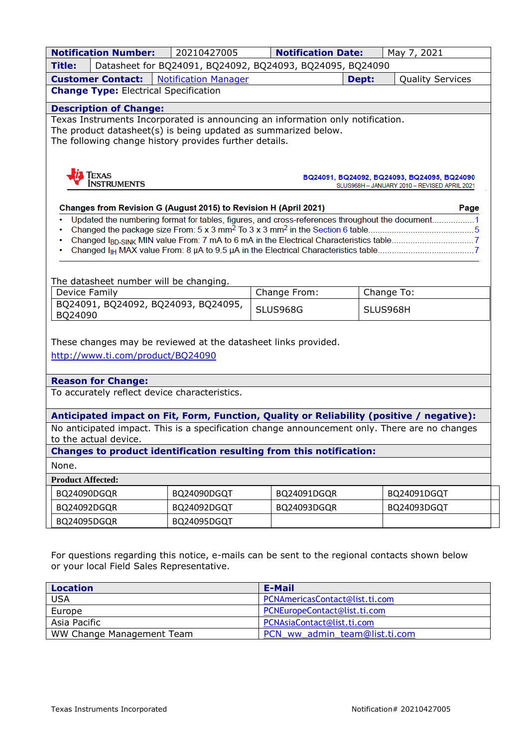| <b>Notification Number:</b><br>20210427005<br><b>Notification Date:</b>                                                                                             |                            |                                                                                               |                                              |       | May 7, 2021             |  |  |
|---------------------------------------------------------------------------------------------------------------------------------------------------------------------|----------------------------|-----------------------------------------------------------------------------------------------|----------------------------------------------|-------|-------------------------|--|--|
| Title:                                                                                                                                                              |                            | Datasheet for BQ24091, BQ24092, BQ24093, BQ24095, BQ24090                                     |                                              |       |                         |  |  |
|                                                                                                                                                                     | <b>Customer Contact:</b>   | <b>Notification Manager</b>                                                                   |                                              | Dept: | <b>Quality Services</b> |  |  |
| <b>Change Type: Electrical Specification</b>                                                                                                                        |                            |                                                                                               |                                              |       |                         |  |  |
| <b>Description of Change:</b>                                                                                                                                       |                            |                                                                                               |                                              |       |                         |  |  |
| Texas Instruments Incorporated is announcing an information only notification.                                                                                      |                            |                                                                                               |                                              |       |                         |  |  |
| The product datasheet(s) is being updated as summarized below.<br>The following change history provides further details.                                            |                            |                                                                                               |                                              |       |                         |  |  |
|                                                                                                                                                                     |                            |                                                                                               |                                              |       |                         |  |  |
|                                                                                                                                                                     |                            |                                                                                               |                                              |       |                         |  |  |
|                                                                                                                                                                     | <b>FEXAS</b>               |                                                                                               | BQ24091, BQ24092, BQ24093, BQ24095, BQ24090  |       |                         |  |  |
|                                                                                                                                                                     | <b>INSTRUMENTS</b>         |                                                                                               | SLUS968H - JANUARY 2010 - REVISED APRIL 2021 |       |                         |  |  |
|                                                                                                                                                                     |                            |                                                                                               |                                              |       | Page                    |  |  |
| Changes from Revision G (August 2015) to Revision H (April 2021)<br>Updated the numbering format for tables, figures, and cross-references throughout the document1 |                            |                                                                                               |                                              |       |                         |  |  |
|                                                                                                                                                                     |                            |                                                                                               |                                              |       |                         |  |  |
|                                                                                                                                                                     |                            |                                                                                               |                                              |       |                         |  |  |
|                                                                                                                                                                     |                            |                                                                                               |                                              |       |                         |  |  |
|                                                                                                                                                                     |                            |                                                                                               |                                              |       |                         |  |  |
|                                                                                                                                                                     |                            | The datasheet number will be changing.                                                        |                                              |       |                         |  |  |
| <b>Device Family</b>                                                                                                                                                |                            |                                                                                               | Change From:                                 |       | Change To:              |  |  |
| BQ24091, BQ24092, BQ24093, BQ24095,<br>BQ24090                                                                                                                      |                            |                                                                                               | <b>SLUS968G</b>                              |       | SLUS968H                |  |  |
|                                                                                                                                                                     |                            |                                                                                               |                                              |       |                         |  |  |
|                                                                                                                                                                     |                            | These changes may be reviewed at the datasheet links provided.                                |                                              |       |                         |  |  |
|                                                                                                                                                                     |                            | http://www.ti.com/product/BQ24090                                                             |                                              |       |                         |  |  |
|                                                                                                                                                                     |                            |                                                                                               |                                              |       |                         |  |  |
|                                                                                                                                                                     | <b>Reason for Change:</b>  |                                                                                               |                                              |       |                         |  |  |
|                                                                                                                                                                     |                            | To accurately reflect device characteristics.                                                 |                                              |       |                         |  |  |
|                                                                                                                                                                     |                            |                                                                                               |                                              |       |                         |  |  |
|                                                                                                                                                                     |                            | Anticipated impact on Fit, Form, Function, Quality or Reliability (positive / negative):      |                                              |       |                         |  |  |
|                                                                                                                                                                     | to the actual device.      | No anticipated impact. This is a specification change announcement only. There are no changes |                                              |       |                         |  |  |
|                                                                                                                                                                     |                            | Changes to product identification resulting from this notification:                           |                                              |       |                         |  |  |
| None.                                                                                                                                                               |                            |                                                                                               |                                              |       |                         |  |  |
| <b>Product Affected:</b>                                                                                                                                            |                            |                                                                                               |                                              |       |                         |  |  |
|                                                                                                                                                                     | BQ24090DGQR<br>BQ24090DGQT |                                                                                               | BQ24091DGQR                                  |       | BQ24091DGQT             |  |  |
|                                                                                                                                                                     | BQ24092DGQT                |                                                                                               | BQ24093DGQR                                  |       | BQ24093DGQT             |  |  |
|                                                                                                                                                                     | BQ24092DGQR<br>BQ24095DGQR |                                                                                               |                                              |       |                         |  |  |
|                                                                                                                                                                     |                            | BQ24095DGQT                                                                                   |                                              |       |                         |  |  |

For questions regarding this notice, e-mails can be sent to the regional contacts shown below or your local Field Sales Representative.

| <b>Location</b>           | E-Mail                         |  |  |
|---------------------------|--------------------------------|--|--|
| <b>USA</b>                | PCNAmericasContact@list.ti.com |  |  |
| Europe                    | PCNEuropeContact@list.ti.com   |  |  |
| Asia Pacific              | PCNAsiaContact@list.ti.com     |  |  |
| WW Change Management Team | PCN ww admin team@list.ti.com  |  |  |